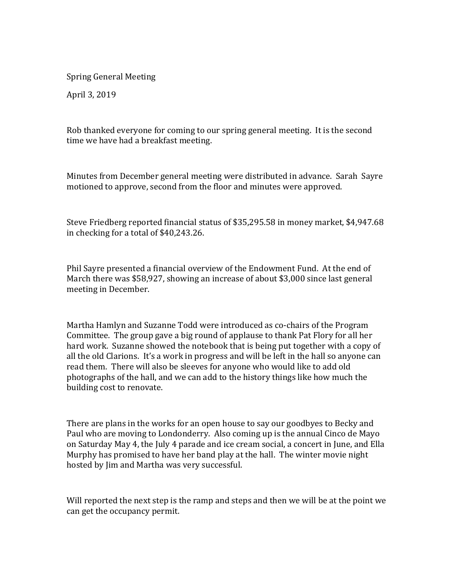Spring General Meeting

April 3, 2019

Rob thanked everyone for coming to our spring general meeting. It is the second time we have had a breakfast meeting.

Minutes from December general meeting were distributed in advance. Sarah Sayre motioned to approve, second from the floor and minutes were approved.

Steve Friedberg reported financial status of \$35,295.58 in money market, \$4,947.68 in checking for a total of \$40,243.26.

Phil Sayre presented a financial overview of the Endowment Fund. At the end of March there was \$58,927, showing an increase of about \$3,000 since last general meeting in December.

Martha Hamlyn and Suzanne Todd were introduced as co-chairs of the Program Committee. The group gave a big round of applause to thank Pat Flory for all her hard work. Suzanne showed the notebook that is being put together with a copy of all the old Clarions. It's a work in progress and will be left in the hall so anyone can read them. There will also be sleeves for anyone who would like to add old photographs of the hall, and we can add to the history things like how much the building cost to renovate.

There are plans in the works for an open house to say our goodbyes to Becky and Paul who are moving to Londonderry. Also coming up is the annual Cinco de Mayo on Saturday May 4, the July 4 parade and ice cream social, a concert in June, and Ella Murphy has promised to have her band play at the hall. The winter movie night hosted by Jim and Martha was very successful.

Will reported the next step is the ramp and steps and then we will be at the point we can get the occupancy permit.